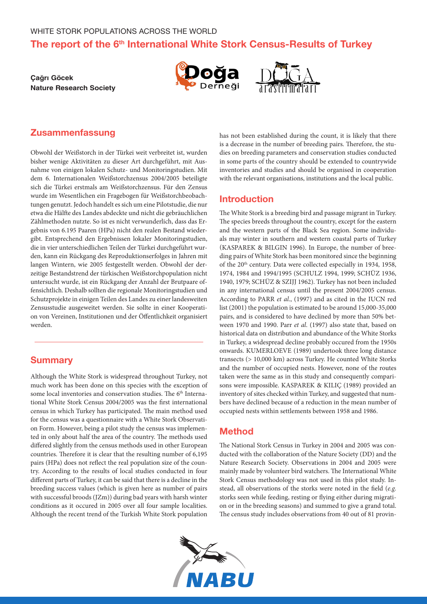# The report of the 6<sup>th</sup> International White Stork Census-Results of Turkey

# **Çağrı Göcek Nature Research Society**





# Zusammenfassung

Obwohl der Weißstorch in der Türkei weit verbreitet ist, wurden bisher wenige Aktivitäten zu dieser Art durchgeführt, mit Ausnahme von einigen lokalen Schutz- und Monitoringstudien. Mit dem 6. Internationalen Weißstorchzensus 2004/2005 beteiligte sich die Türkei erstmals am Weißstorchzensus. Für den Zensus wurde im Wesentlichen ein Fragebogen für Weißstorchbeobachtungen genutzt. Jedoch handelt es sich um eine Pilotstudie, die nur etwa die Hälfte des Landes abdeckte und nicht die gebräuchlichen Zählmethoden nutzte. So ist es nicht verwunderlich, dass das Ergebnis von 6.195 Paaren (HPa) nicht den realen Bestand wiedergibt. Entsprechend den Ergebnissen lokaler Monitoringstudien, die in vier unterschiedlichen Teilen der Türkei durchgeführt wurden, kann ein Rückgang des Reproduktionserfolges in Jahren mit langen Wintern, wie 2005 festgestellt werden. Obwohl der derzeitige Bestandstrend der türkischen Weißstorchpopulation nicht untersucht wurde, ist ein Rückgang der Anzahl der Brutpaare offensichtlich. Deshalb sollten die regionale Monitoringstudien und Schutzprojekte in einigen Teilen des Landes zu einer landesweiten Zensusstudie ausgeweitet werden. Sie sollte in einer Kooperation von Vereinen, Institutionen und der Öffentlichkeit organisiert werden.

# **Summary**

Although the White Stork is widespread throughout Turkey, not much work has been done on this species with the exception of some local inventories and conservation studies. The 6<sup>th</sup> International White Stork Census 2004/2005 was the first international census in which Turkey has participated. The main method used for the census was a questionnaire with a White Stork Observation Form. However, being a pilot study the census was implemented in only about half the area of the country. The methods used differed slightly from the census methods used in other European countries. Therefore it is clear that the resulting number of 6,195 pairs (HPa) does not reflect the real population size of the country. According to the results of local studies conducted in four different parts of Turkey, it can be said that there is a decline in the breeding success values (which is given here as number of pairs with successful broods (JZm)) during bad years with harsh winter conditions as it occured in 2005 over all four sample localities. Although the recent trend of the Turkish White Stork population has not been established during the count, it is likely that there is a decrease in the number of breeding pairs. Therefore, the studies on breeding parameters and conservation studies conducted in some parts of the country should be extended to countrywide inventories and studies and should be organised in cooperation with the relevant organisations, institutions and the local public.

# Introduction

The White Stork is a breeding bird and passage migrant in Turkey. The species breeds throughout the country, except for the eastern and the western parts of the Black Sea region. Some individuals may winter in southern and western coastal parts of Turkey (KASPAREK & BILGIN 1996). In Europe, the number of breeding pairs of White Stork has been monitored since the beginning of the 20th century. Data were collected especially in 1934, 1958, 1974, 1984 and 1994/1995 (SCHULZ 1994, 1999; SCHÜZ 1936, 1940, 1979; SCHÜZ & SZIJJ 1962). Turkey has not been included in any international census until the present 2004/2005 census. According to PARR *et al*., (1997) and as cited in the IUCN red list (2001) the population is estimated to be around 15,000-35,000 pairs, and is considered to have declined by more than 50% between 1970 and 1990. Parr *et al*. (1997) also state that, based on historical data on distribution and abundance of the White Storks in Turkey, a widespread decline probably occured from the 1950s onwards. KUMERLOEVE (1989) undertook three long distance transects (> 10,000 km) across Turkey. He counted White Storks and the number of occupied nests. However, none of the routes taken were the same as in this study and consequently comparisons were impossible. KASPAREK & KILIÇ (1989) provided an inventory of sites checked within Turkey, and suggested that numbers have declined because of a reduction in the mean number of occupied nests within settlements between 1958 and 1986.

# Method

The National Stork Census in Turkey in 2004 and 2005 was conducted with the collaboration of the Nature Society (DD) and the Nature Research Society. Observations in 2004 and 2005 were mainly made by volunteer bird watchers. The International White Stork Census methodology was not used in this pilot study. Instead, all observations of the storks were noted in the field (*e.g.* storks seen while feeding, resting or flying either during migration or in the breeding seasons) and summed to give a grand total. The census study includes observations from 40 out of 81 provin-

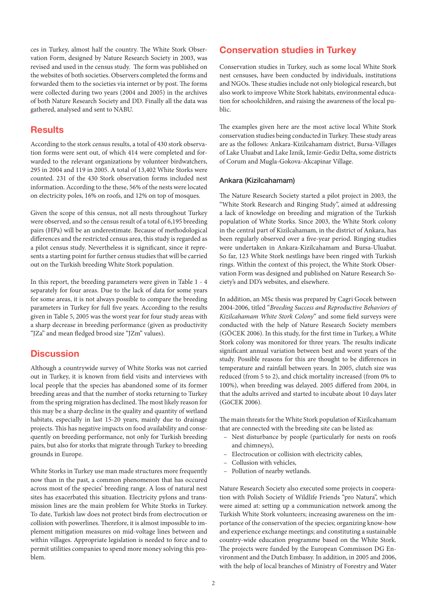ces in Turkey, almost half the country. The White Stork Observation Form, designed by Nature Research Society in 2003, was revised and used in the census study. The form was published on the websites of both societies. Observers completed the forms and forwarded them to the societies via internet or by post. The forms were collected during two years (2004 and 2005) in the archives of both Nature Research Society and DD. Finally all the data was gathered, analysed and sent to NABU.

## **Results**

According to the stork census results, a total of 430 stork observation forms were sent out, of which 414 were completed and forwarded to the relevant organizations by volunteer birdwatchers, 295 in 2004 and 119 in 2005. A total of 13,402 White Storks were counted. 231 of the 430 Stork observation forms included nest information. According to the these, 56% of the nests were located on electricity poles, 16% on roofs, and 12% on top of mosques.

Given the scope of this census, not all nests throughout Turkey were observed, and so the census result of a total of 6,195 breeding pairs (HPa) will be an underestimate. Because of methodological differences and the restricted census area, this study is regarded as a pilot census study. Nevertheless it is significant, since it represents a starting point for further census studies that will be carried out on the Turkish breeding White Stork population.

In this report, the breeding parameters were given in Table 1 - 4 separately for four areas. Due to the lack of data for some years for some areas, it is not always possible to compare the breeding parameters in Turkey for full five years. According to the results given in Table 5, 2005 was the worst year for four study areas with a sharp decrease in breeding performance (given as productivity "JZa" and mean fledged brood size "JZm" values).

# **Discussion**

Although a countrywide survey of White Storks was not carried out in Turkey, it is known from field visits and interviews with local people that the species has abandoned some of its former breeding areas and that the number of storks returning to Turkey from the spring migration has declined. The most likely reason for this may be a sharp decline in the quality and quantity of wetland habitats, especially in last 15-20 years, mainly due to drainage projects. This has negative impacts on food availability and consequently on breeding performance, not only for Turkish breeding pairs, but also for storks that migrate through Turkey to breeding grounds in Europe.

White Storks in Turkey use man made structures more frequently now than in the past, a common phenomenon that has occured across most of the species' breeding range. A loss of natural nest sites has exacerbated this situation. Electricity pylons and transmission lines are the main problem for White Storks in Turkey. To date, Turkish law does not protect birds from electrocution or collision with powerlines. Therefore, it is almost impossible to implement mitigation measures on mid-voltage lines between and within villages. Appropriate legislation is needed to force and to permit utilities companies to spend more money solving this problem.

# Conservation studies in Turkey

Conservation studies in Turkey, such as some local White Stork nest censuses, have been conducted by individuals, institutions and NGOs. These studies include not only biological research, but also work to improve White Stork habitats, environmental education for schoolchildren, and raising the awareness of the local public.

The examples given here are the most active local White Stork conservation studies being conducted in Turkey. These study areas are as the follows: Ankara-Kizilcahamam district, Bursa-Villages of Lake Uluabat and Lake Iznik, Izmir-Gediz Delta, some districts of Corum and Mugla-Gokova-Akcapinar Village.

### Ankara (Kizilcahamam)

The Nature Research Society started a pilot project in 2003, the "White Stork Research and Ringing Study", aimed at addressing a lack of knowledge on breeding and migration of the Turkish population of White Storks. Since 2003, the White Stork colony in the central part of Kizilcahamam, in the district of Ankara, has been regularly observed over a five-year period. Ringing studies were undertaken in Ankara-Kizilcahamam and Bursa-Uluabat. So far, 123 White Stork nestlings have been ringed with Turkish rings. Within the context of this project, the White Stork Observation Form was designed and published on Nature Research Society's and DD's websites, and elsewhere.

In addition, an MSc thesis was prepared by Cagri Gocek between 2004-2006, titled "*Breeding Success and Reproductive Behaviors of Kizilcahamam White Stork Colony*" and some field surveys were conducted with the help of Nature Research Society members (GÖCEK 2006). In this study, for the first time in Turkey, a White Stork colony was monitored for three years. The results indicate significant annual variation between best and worst years of the study. Possible reasons for this are thought to be differences in temperature and rainfall between years. In 2005, clutch size was reduced (from 5 to 2), and chick mortality increased (from 0% to 100%), when breeding was delayed. 2005 differed from 2004, in that the adults arrived and started to incubate about 10 days later (GöCEK 2006).

The main threats for the White Stork population of Kizilcahamam that are connected with the breeding site can be listed as:

- Nest disturbance by people (particularly for nests on roofs and chimneys),
- Electrocution or collision with electricity cables,
- Collusion with vehicles,
- Pollution of nearby wetlands.

Nature Research Society also executed some projects in cooperation with Polish Society of Wildlife Friends "pro Natura", which were aimed at: setting up a communication network among the Turkish White Stork volunteers; increasing awareness on the importance of the conservation of the species; organizing know-how and experience exchange meetings; and constituting a sustainable country-wide education programme based on the White Stork. The projects were funded by the European Commisson DG Environment and the Dutch Embassy. In addition, in 2005 and 2006, with the help of local branches of Ministry of Forestry and Water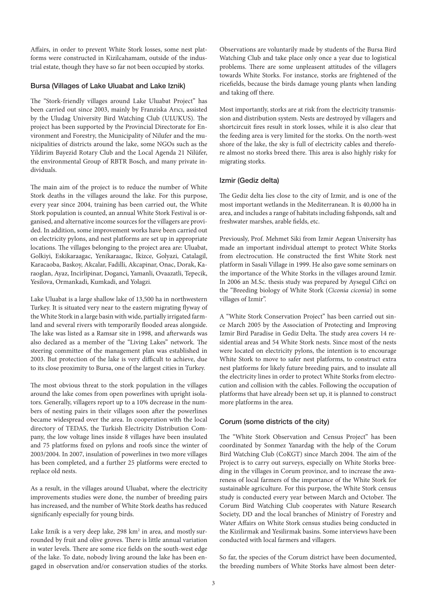Affairs, in order to prevent White Stork losses, some nest platforms were constructed in Kizilcahamam, outside of the industrial estate, though they have so far not been occupied by storks.

#### Bursa (Villages of Lake Uluabat and Lake Iznik)

The "Stork-friendly villages around Lake Uluabat Project" has been carried out since 2003, mainly by Franziska Arıcı, assisted by the Uludag University Bird Watching Club (ULUKUS). The project has been supported by the Provincial Directorate for Environment and Forestry, the Municipality of Nilufer and the municipalities of districts around the lake, some NGOs such as the Yildirim Bayezid Rotary Club and the Local Agenda 21 Nilüfer, the environmental Group of RBTR Bosch, and many private individuals.

The main aim of the project is to reduce the number of White Stork deaths in the villages around the lake. For this purpose, every year since 2004, training has been carried out, the White Stork population is counted, an annual White Stork Festival is organised, and alternative income sources for the villagers are provided. In addition, some improvement works have been carried out on electricity pylons, and nest platforms are set up in appropriate locations. The villages belonging to the project area are: Uluabat, Golkiyi, Eskikaraagac, Yenikaraagac, Ikizce, Golyazi, Catalagil, Karacaoba, Baskoy, Akcalar, Fadilli, Akcapinar, Onac, Dorak, Karaoglan, Ayaz, Incirlipinar, Doganci, Yamanli, Ovaazatli, Tepecik, Yesilova, Ormankadi, Kumkadi, and Yolagzi.

Lake Uluabat is a large shallow lake of 13,500 ha in northwestern Turkey. It is situated very near to the eastern migrating flyway of the White Stork in a large basin with wide, partially irrigated farmland and several rivers with temporarily flooded areas alongside. The lake was listed as a Ramsar site in 1998, and afterwards was also declared as a member of the "Living Lakes" network. The steering committee of the management plan was established in 2003. But protection of the lake is very difficult to achieve, due to its close proximity to Bursa, one of the largest cities in Turkey.

The most obvious threat to the stork population in the villages around the lake comes from open powerlines with upright isolators. Generally, villagers report up to a 10% decrease in the numbers of nesting pairs in their villages soon after the powerlines became widespread over the area. In cooperation with the local directory of TEDAS, the Turkish Electricity Distribution Company, the low voltage lines inside 8 villages have been insulated and 75 platforms fixed on pylons and roofs since the winter of 2003/2004. In 2007, insulation of powerlines in two more villages has been completed, and a further 25 platforms were erected to replace old nests.

As a result, in the villages around Uluabat, where the electricity improvements studies were done, the number of breeding pairs has increased, and the number of White Stork deaths has reduced significanly especially for young birds.

Lake Iznik is a very deep lake, 298  $km^2$  in area, and mostly surrounded by fruit and olive groves. There is little annual variation in water levels. There are some rice fields on the south-west edge of the lake. To date, nobody living around the lake has been engaged in observation and/or conservation studies of the storks. Observations are voluntarily made by students of the Bursa Bird Watching Club and take place only once a year due to logistical problems. There are some unpleasent attitudes of the villagers towards White Storks. For instance, storks are frightened of the ricefields, because the birds damage young plants when landing and taking off there.

Most importantly, storks are at risk from the electricity transmission and distribution system. Nests are destroyed by villagers and shortcircuit fires result in stork losses, while it is also clear that the feeding area is very limited for the storks. On the north-west shore of the lake, the sky is full of electricity cables and therefore almost no storks breed there. This area is also highly risky for migrating storks.

### Izmir (Gediz delta)

The Gediz delta lies close to the city of Izmir, and is one of the most important wetlands in the Mediterranean. It is 40,000 ha in area, and includes a range of habitats including fishponds, salt and freshwater marshes, arable fields, etc.

Previously, Prof. Mehmet Siki from Izmir Aegean University has made an important individual attempt to protect White Storks from electrocution. He constructed the first White Stork nest platform in Sasali Village in 1999. He also gave some seminars on the importance of the White Storks in the villages around Izmir. In 2006 an M.Sc. thesis study was prepared by Aysegul Ciftci on the "Breeding biology of White Stork (*Ciconia ciconia*) in some villages of Izmir".

A "White Stork Conservation Project" has been carried out since March 2005 by the Association of Protecting and Improving Izmir Bird Paradise in Gediz Delta. The study area covers 14 residential areas and 54 White Stork nests. Since most of the nests were located on electricity pylons, the intention is to encourage White Stork to move to safer nest platforms, to construct extra nest platforms for likely future breeding pairs, and to insulate all the electricity lines in order to protect White Storks from electrocution and collision with the cables. Following the occupation of platforms that have already been set up, it is planned to construct more platforms in the area.

### Corum (some districts of the city)

The "White Stork Observation and Census Project" has been coordinated by [Sonmez Yanardag](mailto:syanardag@yahoo.com) with the help of the Corum Bird Watching Club ([CoKGT\)](http://www.corumkusgozlem.8m.net ) since March 2004. The aim of the Project is to carry out surveys, especially on White Storks breeding in the villages in Corum province, and to increase the awareness of local farmers of the importance of the White Stork for sustainable agriculture. For this purpose, the White Stork census study is conducted every year between March and October. The Corum Bird Watching Club cooperates with Nature Research Society, DD and the local branches of Ministry of Forestry and Water Affairs on White Stork census studies being conducted in the Kizilirmak and Yesilirmak basins. Some interviews have been conducted with local farmers and villagers.

So far, the species of the Corum district have been documented, the breeding numbers of White Storks have almost been deter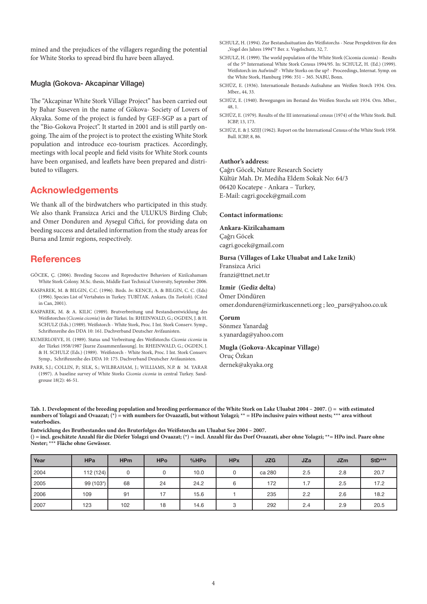mined and the prejudices of the villagers regarding the potential for White Storks to spread bird flu have been allayed.

### Mugla (Gokova- Akcapinar Village)

The "Akcapinar White Stork Village Project" has been carried out by Bahar Suseven in the name of Gökova- Society of Lovers of Akyaka. Some of the project is funded by GEF-SGP as a part of the "Bio-Gokova Project". It started in 2001 and is still partly ongoing. The aim of the project is to protect the existing White Stork population and introduce eco-tourism practices. Accordingly, meetings with local people and field visits for White Stork counts have been organised, and leaflets have been prepared and distributed to villagers.

## Acknowledgements

We thank all of the birdwatchers who participated in this study. We also thank Fransizca Arici and the ULUKUS Birding Club; and Omer Donduren and Aysegul Ciftci, for providing data on beeding success and detailed information from the study areas for Bursa and Izmir regions, respectively.

## References

- GÖCEK, Ç. (2006). Breeding Success and Reproductive Behaviors of Kizilcahamam White Stork Colony. M.Sc. thesis, Middle East Technical University, September 2006.
- KASPAREK, M. & BILGIN, C.C. (1996). Birds. *In:* KENCE, A. & BILGIN, C. C. (Eds) (1996). Species List of Vertabates in Turkey. TUBİTAK. Ankara. (In *Turkish*). (Cited in Can, 2001).
- KASPAREK, M. & A. KILIC (1989). Brutverbreitung und Bestandsentwicklung des Weißstorches (*Ciconia ciconia*) in der Türkei. In: RHEINWALD, G.; OGDEN, J. & H. SCHULZ (Eds.) (1989). Weißstorch - White Stork, Proc. I Int. Stork Conserv. Symp., Schriftenreihe des DDA 10: 161. Dachverband Deutscher Avifaunisten.
- KUMERLOEVE, H. (1989). Status und Verbreitung des Weißstorchs *Ciconia ciconia* in der Türkei 1958/1987 [kurze Zusammenfassung]. In: RHEINWALD, G.; OGDEN, J. & H. SCHULZ (Eds.) (1989). Weißstorch - White Stork, Proc. I Int. Stork Conserv. Symp., Schriftenreihe des DDA 10: 175. Dachverband Deutscher Avifaunisten.
- PARR, S.J.; COLLIN, P.; SILK, S.; WILBRAHAM, J.; WILLIAMS, N.P. & M. YARAR (1997). A baseline survey of White Storks *Ciconia ciconia* in central Turkey. Sandgrouse 18(2): 46-51.
- SCHULZ, H. (1994). Zur Bestandssituation des Weißstorchs Neue Perspektiven für den "Vogel des Jahres 1994"? Ber. z. Vogelschutz, 32, 7.
- SCHULZ, H. (1999). The world population of the White Stork (Ciconia ciconia) Results of the 5<sup>th</sup> International White Stork Census 1994/95. In: SCHULZ, H. (Ed.) (1999). Weißstorch im Aufwind? - White Storks on the up? - Proceedings, Internat. Symp. on the White Stork, Hamburg 1996: 351 – 365. NABU, Bonn.
- SCHÜZ, E. (1936). Internationale Bestands-Aufnahme am Weißen Storch 1934. Orn. Mber., 44, 33.
- SCHÜZ, E. (1940). Bewegungen im Bestand des Weißen Storchs seit 1934. Orn. Mber., 48, 1.
- SCHÜZ, E. (1979). Results of the III international census (1974) of the White Stork. Bull. ICBP, 13, 173.
- SCHÜZ, E. & J. SZIJJ (1962). Report on the International Census of the White Stork 1958. Bull. ICBP, 8, 86.

#### **Author's address:**

Çağrı Göcek, Nature Research Society Kültür Mah. Dr. Mediha Eldem Sokak No: 64/3 06420 Kocatepe - Ankara – Turkey, E-Mail: cagri.gocek@gmail.com

#### **Contact informations:**

#### **Ankara-Kizilcahamam**

Çağrı Göcek cagri.gocek@gmail.com

#### **Bursa (Villages of Lake Uluabat and Lake Iznik)**

Fransizca Arici franzi@ttnet.net.tr

#### **Izmir (Gediz delta)**

Ömer Döndüren [omer.donduren@izmirkuscenneti.org](mailto:omer.donduren@izmirkuscenneti.org) ; leo\_pars@yahoo.co.uk

#### **Çorum**

Sönmez Yanardağ [s.yanardag@yahoo.com](mailto:s.yanardag@yahoo.com)

**Mugla (Gokova-Akcapinar Village)**

Oruç Özkan dernek@akyaka.org

**Tab. 1. Development of the breeding population and breeding performance of the White Stork on Lake Uluabat 2004 – 2007. () = with estimated numbers of Yolagzi and Ovaazat; (\*) = with numbers for Ovaazatli, but without Yolagzi; \*\* = HPo inclusive pairs without nests; \*\*\* area without waterbodies.** 

**Entwicklung des Brutbestandes und des Bruterfolges des Weißstorchs am Uluabat See 2004 – 2007. () = incl. geschätzte Anzahl für die Dörfer Yolagzi und Ovaazat; (\*) = incl. Anzahl für das Dorf Ovaazati, aber ohne Yolagzi; \*\*= HPo incl. Paare ohne Nester; \*\*\* Fläche ohne Gewässer.**

| Year | <b>HPa</b> | <b>HPm</b> | <b>HPo</b> | %HPo | <b>HPx</b> | <b>JZG</b> | <b>JZa</b> | <b>JZm</b> | $StD***$ |
|------|------------|------------|------------|------|------------|------------|------------|------------|----------|
| 2004 | 112 (124)  |            |            | 10.0 | U          | ca 280     | 2.5        | 2.8        | 20.7     |
| 2005 | 99 (103*)  | 68         | 24         | 24.2 | 6          | 172        | 1.7        | 2.5        | 17.2     |
| 2006 | 109        | 91         | 17         | 15.6 |            | 235        | 2.2        | 2.6        | 18.2     |
| 2007 | 123        | 102        | 18         | 14.6 | 3          | 292        | 2.4        | 2.9        | 20.5     |